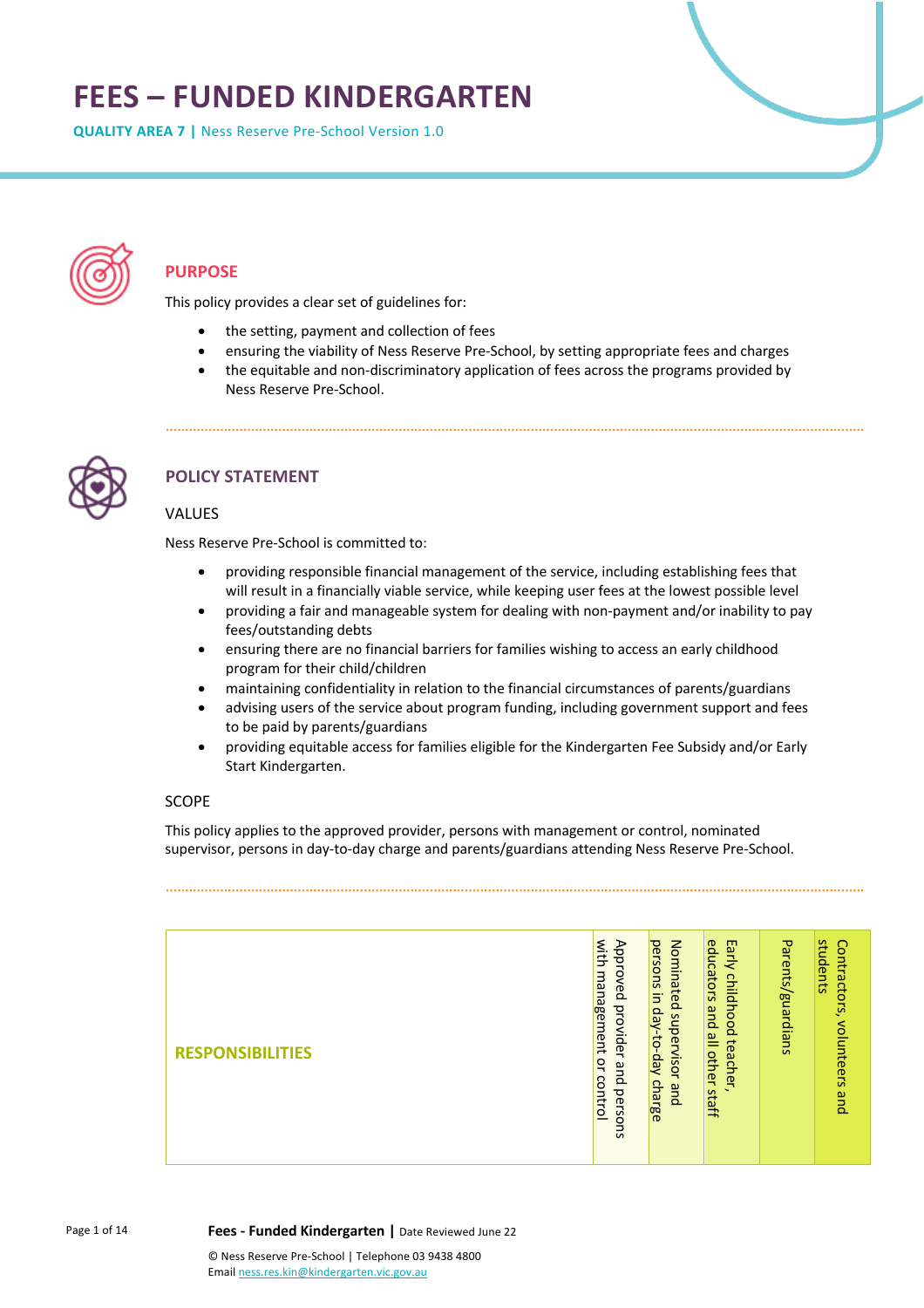# **FEES – FUNDED KINDERGARTEN**

**QUALITY AREA 7 |** Ness Reserve Pre-School Version 1.0



# **PURPOSE**

This policy provides a clear set of guidelines for:

- the setting, payment and collection of fees
- ensuring the viability of Ness Reserve Pre-School, by setting appropriate fees and charges
- the equitable and non-discriminatory application of fees across the programs provided by Ness Reserve Pre-School.



# **POLICY STATEMENT**

#### VALUES

Ness Reserve Pre-School is committed to:

- providing responsible financial management of the service, including establishing fees that will result in a financially viable service, while keeping user fees at the lowest possible level
- providing a fair and manageable system for dealing with non-payment and/or inability to pay fees/outstanding debts
- ensuring there are no financial barriers for families wishing to access an early childhood program for their child/children
- maintaining confidentiality in relation to the financial circumstances of parents/guardians
- advising users of the service about program funding, including government support and fees to be paid by parents/guardians
- providing equitable access for families eligible for the Kindergarten Fee Subsidy and/or Early Start Kindergarten.

#### SCOPE

This policy applies to the approved provider, persons with management or control, nominated supervisor, persons in day-to-day charge and parents/guardians attending Ness Reserve Pre-School.

| <b>RESPONSIBILITIES</b> | with<br>Approved<br>management<br>provider<br>$\overline{a}$<br>and<br>control<br>persons | Nominated<br>persons<br>$\exists$<br>day<br>supervisor<br>Aep-01-<br>charge<br>and | educators<br>Early<br>childhood<br>and<br>$\overset{\mathbf{p}}{=}$<br>teacher<br>other<br>staff | Parents/guardians | students<br>Contractors,<br>volunteers<br>pue |
|-------------------------|-------------------------------------------------------------------------------------------|------------------------------------------------------------------------------------|--------------------------------------------------------------------------------------------------|-------------------|-----------------------------------------------|
|-------------------------|-------------------------------------------------------------------------------------------|------------------------------------------------------------------------------------|--------------------------------------------------------------------------------------------------|-------------------|-----------------------------------------------|

Page 1 of 14

**Fees - Funded Kindergarten |** Date Reviewed June 22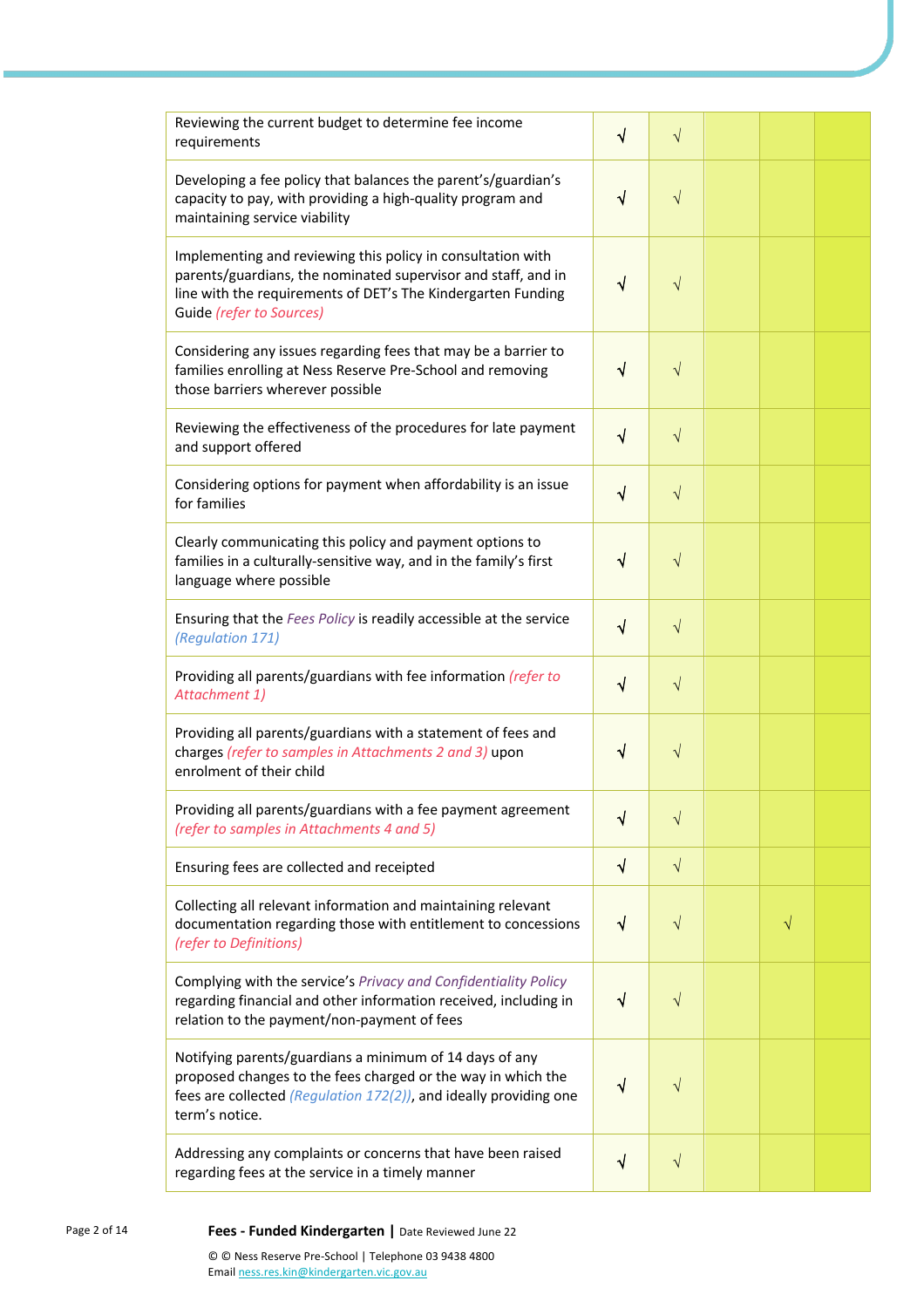| Reviewing the current budget to determine fee income<br>requirements                                                                                                                                                     | $\sqrt{ }$ | $\sqrt{}$ |           |  |
|--------------------------------------------------------------------------------------------------------------------------------------------------------------------------------------------------------------------------|------------|-----------|-----------|--|
| Developing a fee policy that balances the parent's/guardian's<br>capacity to pay, with providing a high-quality program and<br>maintaining service viability                                                             | $\sqrt{}$  | $\sqrt{}$ |           |  |
| Implementing and reviewing this policy in consultation with<br>parents/guardians, the nominated supervisor and staff, and in<br>line with the requirements of DET's The Kindergarten Funding<br>Guide (refer to Sources) | $\sqrt{ }$ | $\sqrt{}$ |           |  |
| Considering any issues regarding fees that may be a barrier to<br>families enrolling at Ness Reserve Pre-School and removing<br>those barriers wherever possible                                                         | $\sqrt{ }$ | $\sqrt{}$ |           |  |
| Reviewing the effectiveness of the procedures for late payment<br>and support offered                                                                                                                                    | $\sqrt{}$  | $\sqrt{}$ |           |  |
| Considering options for payment when affordability is an issue<br>for families                                                                                                                                           | $\sqrt{}$  | $\sqrt{}$ |           |  |
| Clearly communicating this policy and payment options to<br>families in a culturally-sensitive way, and in the family's first<br>language where possible                                                                 | $\sqrt{ }$ | $\sqrt{}$ |           |  |
| Ensuring that the Fees Policy is readily accessible at the service<br>(Regulation 171)                                                                                                                                   | $\sqrt{}$  | $\sqrt{}$ |           |  |
| Providing all parents/guardians with fee information (refer to<br>Attachment 1)                                                                                                                                          | $\sqrt{}$  | $\sqrt{}$ |           |  |
| Providing all parents/guardians with a statement of fees and<br>charges (refer to samples in Attachments 2 and 3) upon<br>enrolment of their child                                                                       | √          | $\sqrt{}$ |           |  |
| Providing all parents/guardians with a fee payment agreement<br>(refer to samples in Attachments 4 and 5)                                                                                                                | √          | $\sqrt{}$ |           |  |
| Ensuring fees are collected and receipted                                                                                                                                                                                | $\sqrt{ }$ | $\sqrt{}$ |           |  |
| Collecting all relevant information and maintaining relevant<br>documentation regarding those with entitlement to concessions<br>(refer to Definitions)                                                                  | $\sqrt{ }$ | $\sqrt{}$ | $\sqrt{}$ |  |
| Complying with the service's Privacy and Confidentiality Policy<br>regarding financial and other information received, including in<br>relation to the payment/non-payment of fees                                       | $\sqrt{}$  | $\sqrt{}$ |           |  |
| Notifying parents/guardians a minimum of 14 days of any<br>proposed changes to the fees charged or the way in which the<br>fees are collected (Regulation 172(2)), and ideally providing one<br>term's notice.           | $\sqrt{}$  | V         |           |  |
| Addressing any complaints or concerns that have been raised<br>regarding fees at the service in a timely manner                                                                                                          | $\sqrt{}$  | $\sqrt{}$ |           |  |

Page 2 of 14 **Fees - Funded Kindergarten |** Date Reviewed June 22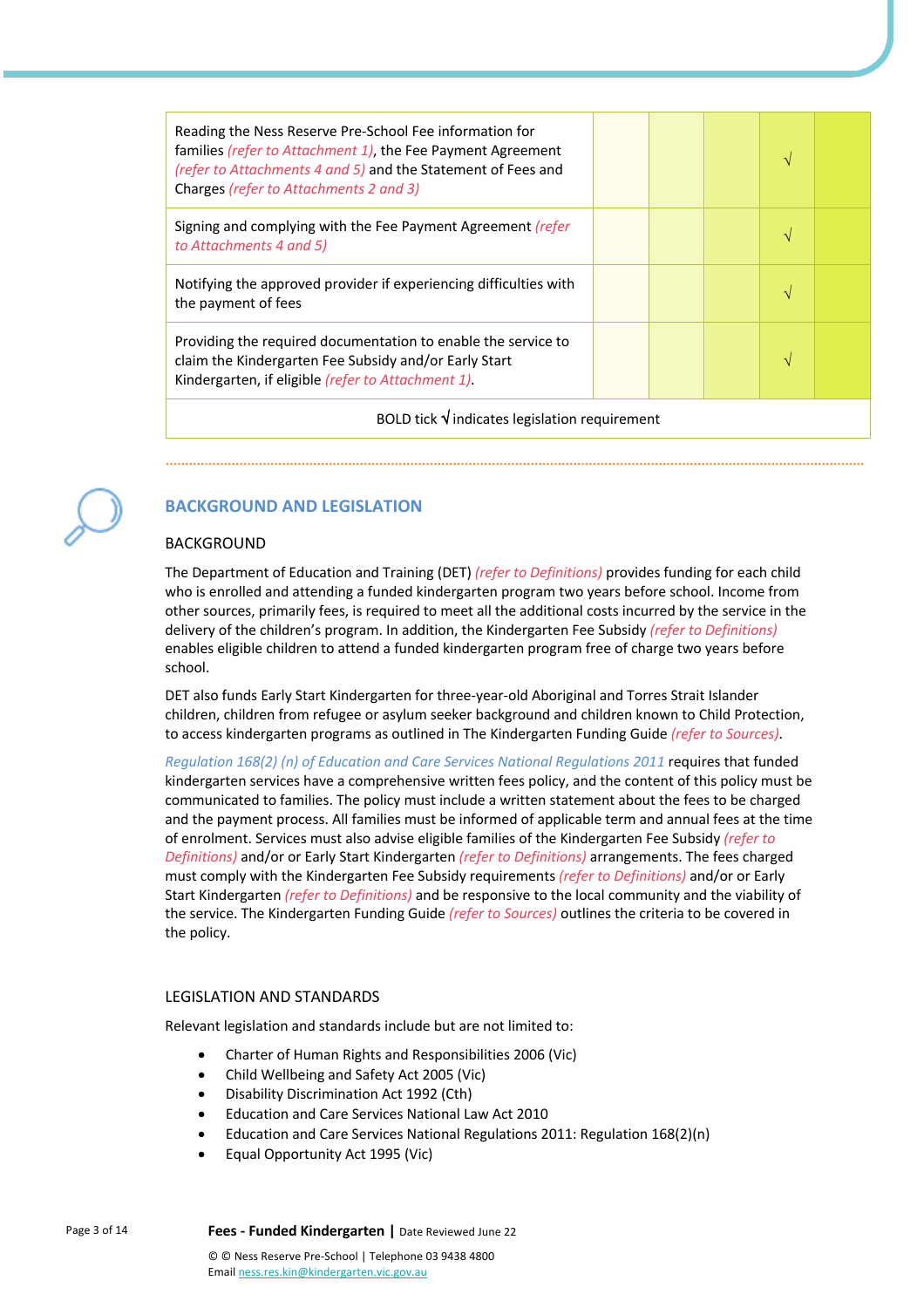| Reading the Ness Reserve Pre-School Fee information for<br>families (refer to Attachment 1), the Fee Payment Agreement<br>(refer to Attachments 4 and 5) and the Statement of Fees and<br>Charges (refer to Attachments 2 and 3) |  |  |  | N |  |  |  |
|----------------------------------------------------------------------------------------------------------------------------------------------------------------------------------------------------------------------------------|--|--|--|---|--|--|--|
| Signing and complying with the Fee Payment Agreement <i>(refer</i> )<br>to Attachments 4 and 5)                                                                                                                                  |  |  |  |   |  |  |  |
| Notifying the approved provider if experiencing difficulties with<br>the payment of fees                                                                                                                                         |  |  |  |   |  |  |  |
| Providing the required documentation to enable the service to<br>claim the Kindergarten Fee Subsidy and/or Early Start<br>Kindergarten, if eligible (refer to Attachment 1).                                                     |  |  |  |   |  |  |  |
| BOLD tick $\sqrt{}$ indicates legislation requirement                                                                                                                                                                            |  |  |  |   |  |  |  |

# **BACKGROUND AND LEGISLATION**

BACKGROUND

The Department of Education and Training (DET) *(refer to Definitions)* provides funding for each child who is enrolled and attending a funded kindergarten program two years before school. Income from other sources, primarily fees, is required to meet all the additional costs incurred by the service in the delivery of the children's program. In addition, the Kindergarten Fee Subsidy *(refer to Definitions)* enables eligible children to attend a funded kindergarten program free of charge two years before school.

### DET also funds Early Start Kindergarten for three-year-old Aboriginal and Torres Strait Islander children, children from refugee or asylum seeker background and children known to Child Protection, to access kindergarten programs as outlined in The Kindergarten Funding Guide *(refer to Sources)*.

*Regulation 168(2) (n) of Education and Care Services National Regulations 2011* requires that funded kindergarten services have a comprehensive written fees policy, and the content of this policy must be communicated to families. The policy must include a written statement about the fees to be charged and the payment process. All families must be informed of applicable term and annual fees at the time of enrolment. Services must also advise eligible families of the Kindergarten Fee Subsidy *(refer to Definitions)* and/or or Early Start Kindergarten *(refer to Definitions)* arrangements. The fees charged must comply with the Kindergarten Fee Subsidy requirements *(refer to Definitions)* and/or or Early Start Kindergarten *(refer to Definitions)* and be responsive to the local community and the viability of the service. The Kindergarten Funding Guide *(refer to Sources)* outlines the criteria to be covered in the policy.

# LEGISLATION AND STANDARDS

Relevant legislation and standards include but are not limited to:

- Charter of Human Rights and Responsibilities 2006 (Vic)
- Child Wellbeing and Safety Act 2005 (Vic)
- Disability Discrimination Act 1992 (Cth)
- Education and Care Services National Law Act 2010
- Education and Care Services National Regulations 2011: Regulation 168(2)(n)
- Equal Opportunity Act 1995 (Vic)

Page 3 of 14 **Fees - Funded Kindergarten |** Date Reviewed June 22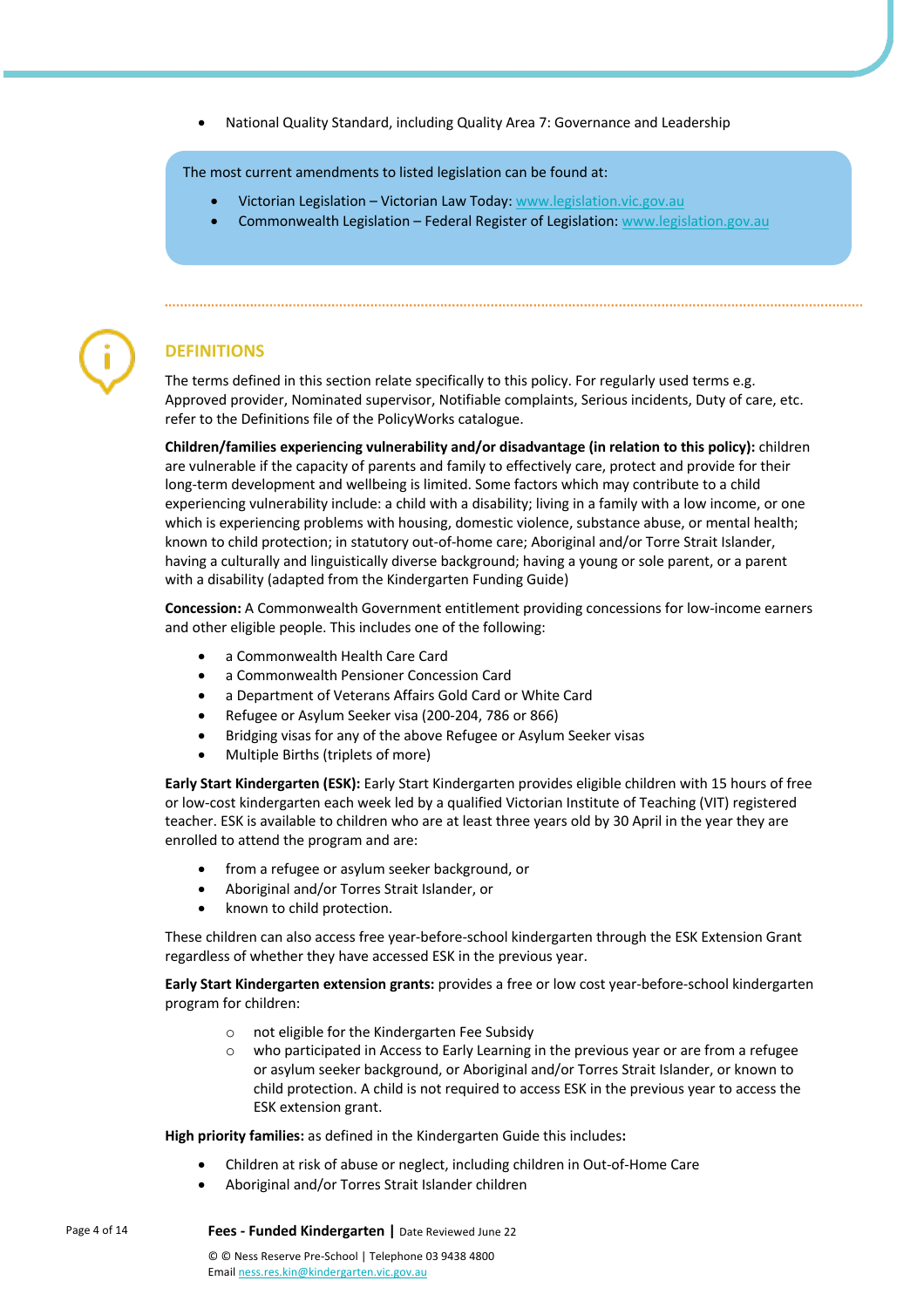• National Quality Standard, including Quality Area 7: Governance and Leadership

The most current amendments to listed legislation can be found at:

- Victorian Legislation Victorian Law Today: www.legislation.vic.gov.au
- Commonwealth Legislation Federal Register of Legislation: www.legislation.gov.au



# **DEFINITIONS**

The terms defined in this section relate specifically to this policy. For regularly used terms e.g. Approved provider, Nominated supervisor, Notifiable complaints, Serious incidents, Duty of care, etc. refer to the Definitions file of the PolicyWorks catalogue.

**Children/families experiencing vulnerability and/or disadvantage (in relation to this policy):** children are vulnerable if the capacity of parents and family to effectively care, protect and provide for their long-term development and wellbeing is limited. Some factors which may contribute to a child experiencing vulnerability include: a child with a disability; living in a family with a low income, or one which is experiencing problems with housing, domestic violence, substance abuse, or mental health; known to child protection; in statutory out-of-home care; Aboriginal and/or Torre Strait Islander, having a culturally and linguistically diverse background; having a young or sole parent, or a parent with a disability (adapted from the Kindergarten Funding Guide)

**Concession:** A Commonwealth Government entitlement providing concessions for low-income earners and other eligible people. This includes one of the following:

- a Commonwealth Health Care Card
- a Commonwealth Pensioner Concession Card
- a Department of Veterans Affairs Gold Card or White Card
- Refugee or Asylum Seeker visa (200-204, 786 or 866)
- Bridging visas for any of the above Refugee or Asylum Seeker visas
- Multiple Births (triplets of more)

**Early Start Kindergarten (ESK):** Early Start Kindergarten provides eligible children with 15 hours of free or low-cost kindergarten each week led by a qualified Victorian Institute of Teaching (VIT) registered teacher. ESK is available to children who are at least three years old by 30 April in the year they are enrolled to attend the program and are:

- from a refugee or asylum seeker background, or
- Aboriginal and/or Torres Strait Islander, or
- known to child protection.

These children can also access free year-before-school kindergarten through the ESK Extension Grant regardless of whether they have accessed ESK in the previous year.

**Early Start Kindergarten extension grants:** provides a free or low cost year-before-school kindergarten program for children:

- o not eligible for the Kindergarten Fee Subsidy
- o who participated in Access to Early Learning in the previous year or are from a refugee or asylum seeker background, or Aboriginal and/or Torres Strait Islander, or known to child protection. A child is not required to access ESK in the previous year to access the ESK extension grant.

**High priority families:** as defined in the Kindergarten Guide this includes**:**

- Children at risk of abuse or neglect, including children in Out-of-Home Care
- Aboriginal and/or Torres Strait Islander children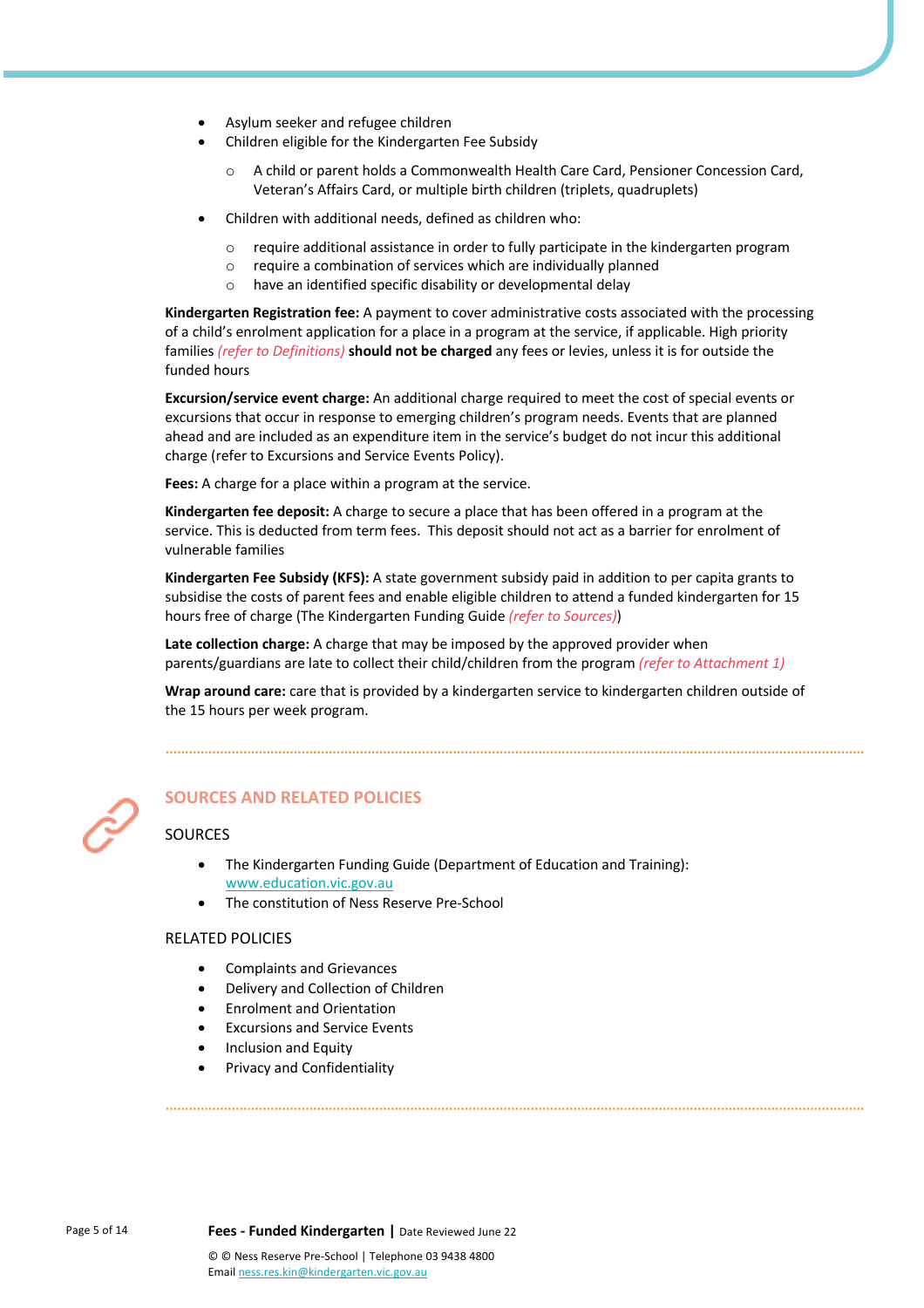- Asylum seeker and refugee children
- Children eligible for the Kindergarten Fee Subsidy
	- A child or parent holds a Commonwealth Health Care Card, Pensioner Concession Card, Veteran's Affairs Card, or multiple birth children (triplets, quadruplets)
- Children with additional needs, defined as children who:
	- o require additional assistance in order to fully participate in the kindergarten program
	- $\circ$  require a combination of services which are individually planned
	- o have an identified specific disability or developmental delay

**Kindergarten Registration fee:** A payment to cover administrative costs associated with the processing of a child's enrolment application for a place in a program at the service, if applicable. High priority families *(refer to Definitions)* **should not be charged** any fees or levies, unless it is for outside the funded hours

**Excursion/service event charge:** An additional charge required to meet the cost of special events or excursions that occur in response to emerging children's program needs. Events that are planned ahead and are included as an expenditure item in the service's budget do not incur this additional charge (refer to Excursions and Service Events Policy).

**Fees:** A charge for a place within a program at the service.

**Kindergarten fee deposit:** A charge to secure a place that has been offered in a program at the service. This is deducted from term fees. This deposit should not act as a barrier for enrolment of vulnerable families

**Kindergarten Fee Subsidy (KFS):** A state government subsidy paid in addition to per capita grants to subsidise the costs of parent fees and enable eligible children to attend a funded kindergarten for 15 hours free of charge (The Kindergarten Funding Guide *(refer to Sources)*)

**Late collection charge:** A charge that may be imposed by the approved provider when parents/guardians are late to collect their child/children from the program *(refer to Attachment 1)*

**Wrap around care:** care that is provided by a kindergarten service to kindergarten children outside of the 15 hours per week program.



# **SOURCES AND RELATED POLICIES**

#### **SOURCES**

- The Kindergarten Funding Guide (Department of Education and Training): www.education.vic.gov.au
- The constitution of Ness Reserve Pre-School

#### RELATED POLICIES

- Complaints and Grievances
- Delivery and Collection of Children
- Enrolment and Orientation
- Excursions and Service Events
- Inclusion and Equity
- Privacy and Confidentiality

Page 5 of 14 **Fees - Funded Kindergarten |** Date Reviewed June 22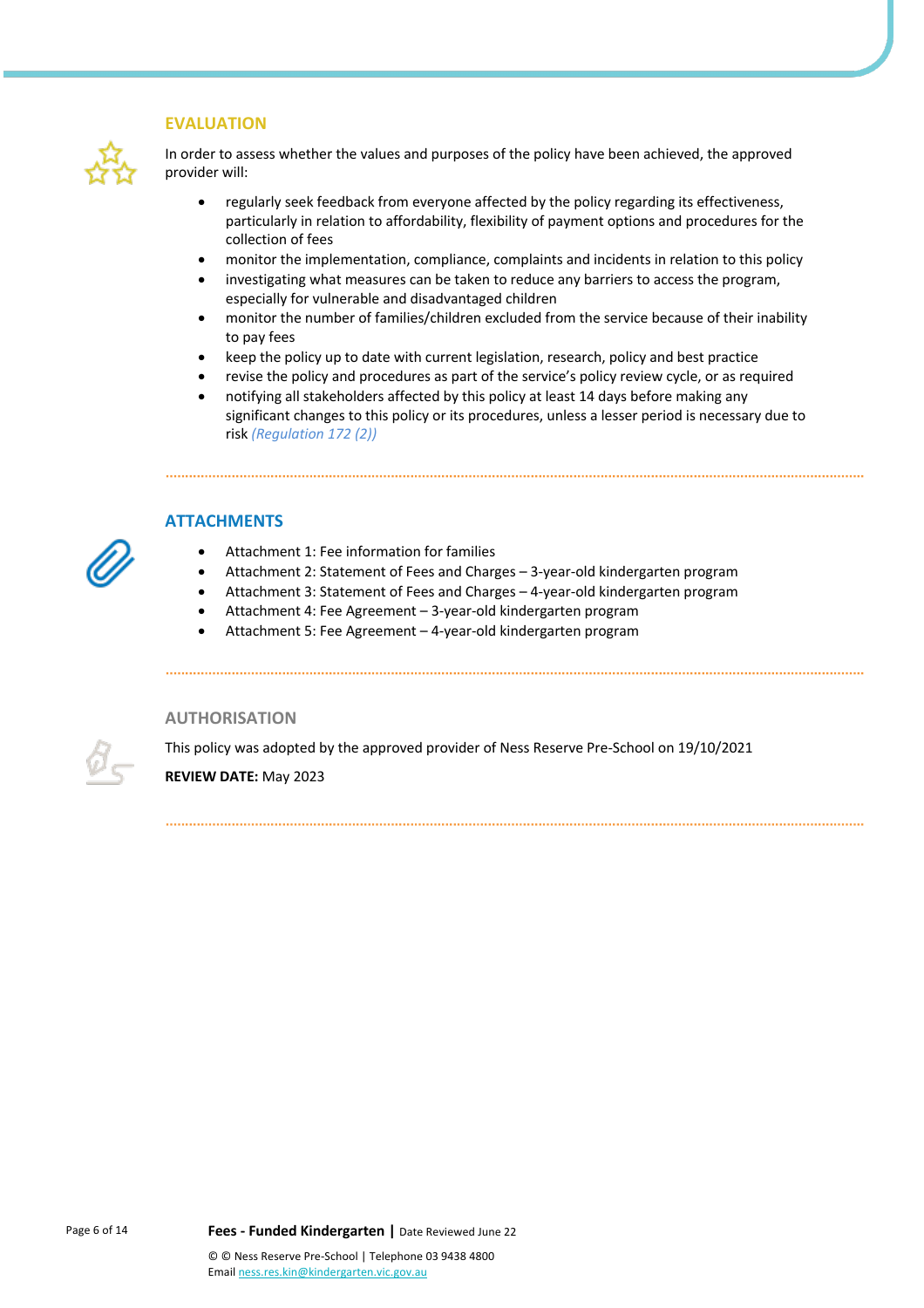#### **EVALUATION**



In order to assess whether the values and purposes of the policy have been achieved, the approved provider will:

- regularly seek feedback from everyone affected by the policy regarding its effectiveness, particularly in relation to affordability, flexibility of payment options and procedures for the collection of fees
- monitor the implementation, compliance, complaints and incidents in relation to this policy
- investigating what measures can be taken to reduce any barriers to access the program, especially for vulnerable and disadvantaged children
- monitor the number of families/children excluded from the service because of their inability to pay fees
- keep the policy up to date with current legislation, research, policy and best practice
- revise the policy and procedures as part of the service's policy review cycle, or as required
- notifying all stakeholders affected by this policy at least 14 days before making any significant changes to this policy or its procedures, unless a lesser period is necessary due to risk *(Regulation 172 (2))*



### **ATTACHMENTS**

- Attachment 1: Fee information for families
- Attachment 2: Statement of Fees and Charges 3-year-old kindergarten program
- Attachment 3: Statement of Fees and Charges 4-year-old kindergarten program
- Attachment 4: Fee Agreement 3-year-old kindergarten program
- Attachment 5: Fee Agreement 4-year-old kindergarten program

#### **AUTHORISATION**

This policy was adopted by the approved provider of Ness Reserve Pre-School on 19/10/2021

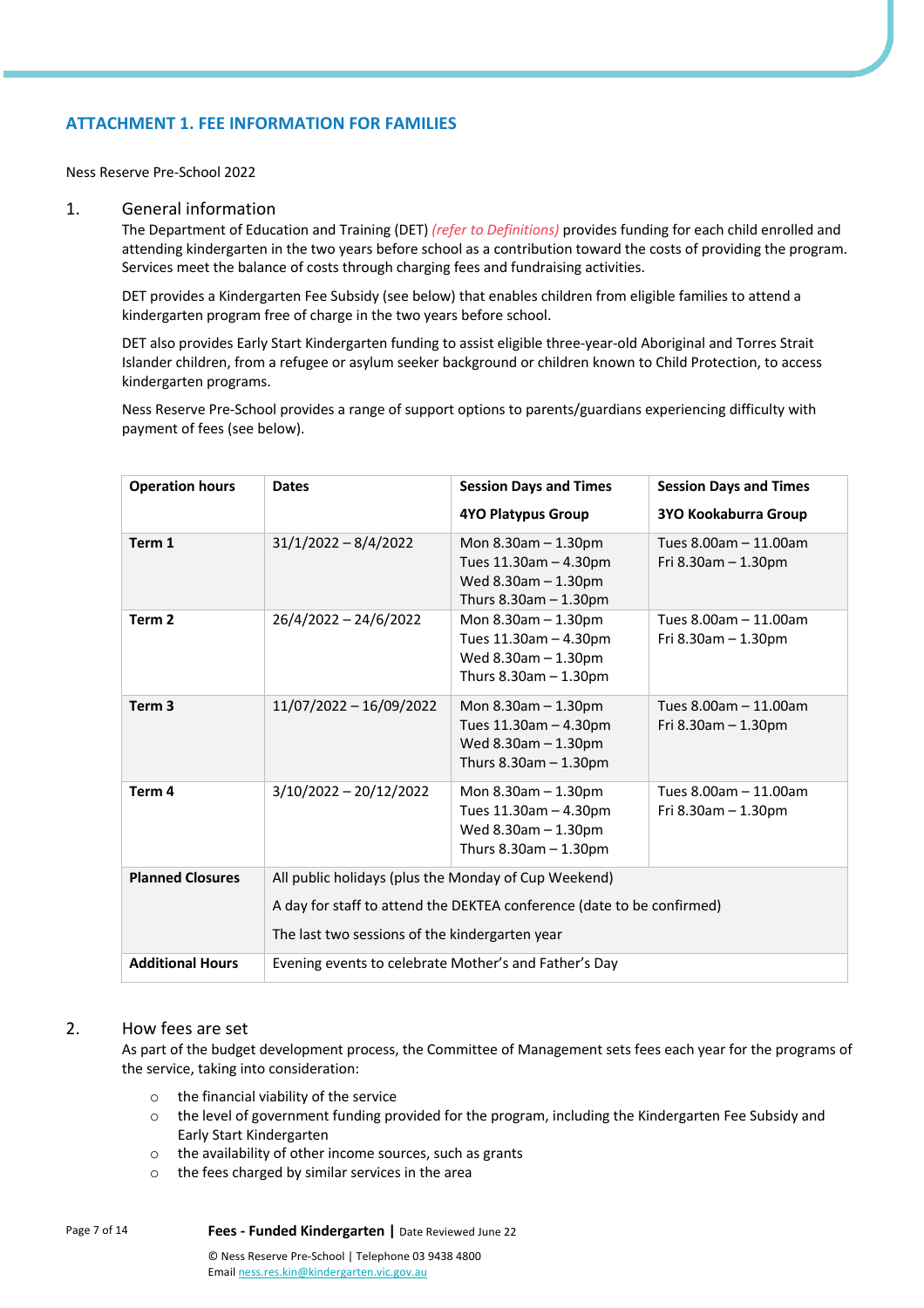# **ATTACHMENT 1. FEE INFORMATION FOR FAMILIES**

Ness Reserve Pre-School 2022

#### 1. General information

The Department of Education and Training (DET) *(refer to Definitions)* provides funding for each child enrolled and attending kindergarten in the two years before school as a contribution toward the costs of providing the program. Services meet the balance of costs through charging fees and fundraising activities.

DET provides a Kindergarten Fee Subsidy (see below) that enables children from eligible families to attend a kindergarten program free of charge in the two years before school.

DET also provides Early Start Kindergarten funding to assist eligible three-year-old Aboriginal and Torres Strait Islander children, from a refugee or asylum seeker background or children known to Child Protection, to access kindergarten programs.

Ness Reserve Pre-School provides a range of support options to parents/guardians experiencing difficulty with payment of fees (see below).

| <b>Operation hours</b>  | <b>Dates</b>                                          | <b>Session Days and Times</b>                                                                                | <b>Session Days and Times</b>                      |  |  |
|-------------------------|-------------------------------------------------------|--------------------------------------------------------------------------------------------------------------|----------------------------------------------------|--|--|
|                         |                                                       | <b>4YO Platypus Group</b>                                                                                    | 3YO Kookaburra Group                               |  |  |
| Term 1                  | $31/1/2022 - 8/4/2022$                                | Mon $8.30$ am $-1.30$ pm<br>Tues 11.30am - 4.30pm<br>Wed $8.30$ am $-1.30$ pm<br>Thurs $8.30$ am $-1.30$ pm  | Tues 8.00am - 11.00am<br>Fri $8.30$ am $-1.30$ pm  |  |  |
| Term <sub>2</sub>       | $26/4/2022 - 24/6/2022$                               | Mon $8.30$ am $-1.30$ pm<br>Tues 11.30am - 4.30pm<br>Wed $8.30$ am $-1.30$ pm<br>Thurs $8.30$ am $-1.30$ pm  | Tues 8.00am - 11.00am<br>Fri 8.30am - 1.30pm       |  |  |
| Term <sub>3</sub>       | 11/07/2022 - 16/09/2022                               | Mon $8.30$ am $- 1.30$ pm<br>Tues 11.30am - 4.30pm<br>Wed $8.30$ am $-1.30$ pm<br>Thurs $8.30$ am $-1.30$ pm | Tues 8.00am - 11.00am<br>Fri $8.30$ am $- 1.30$ pm |  |  |
| Term 4                  | $3/10/2022 - 20/12/2022$                              | Mon $8.30$ am $- 1.30$ pm<br>Tues 11.30am - 4.30pm<br>Wed $8.30$ am $-1.30$ pm<br>Thurs $8.30$ am $-1.30$ pm | Tues 8.00am - 11.00am<br>Fri $8.30$ am $- 1.30$ pm |  |  |
| <b>Planned Closures</b> | All public holidays (plus the Monday of Cup Weekend)  |                                                                                                              |                                                    |  |  |
|                         |                                                       | A day for staff to attend the DEKTEA conference (date to be confirmed)                                       |                                                    |  |  |
|                         | The last two sessions of the kindergarten year        |                                                                                                              |                                                    |  |  |
| <b>Additional Hours</b> | Evening events to celebrate Mother's and Father's Day |                                                                                                              |                                                    |  |  |

#### 2. How fees are set

As part of the budget development process, the Committee of Management sets fees each year for the programs of the service, taking into consideration:

- o the financial viability of the service
- $\circ$  the level of government funding provided for the program, including the Kindergarten Fee Subsidy and Early Start Kindergarten
- o the availability of other income sources, such as grants
- o the fees charged by similar services in the area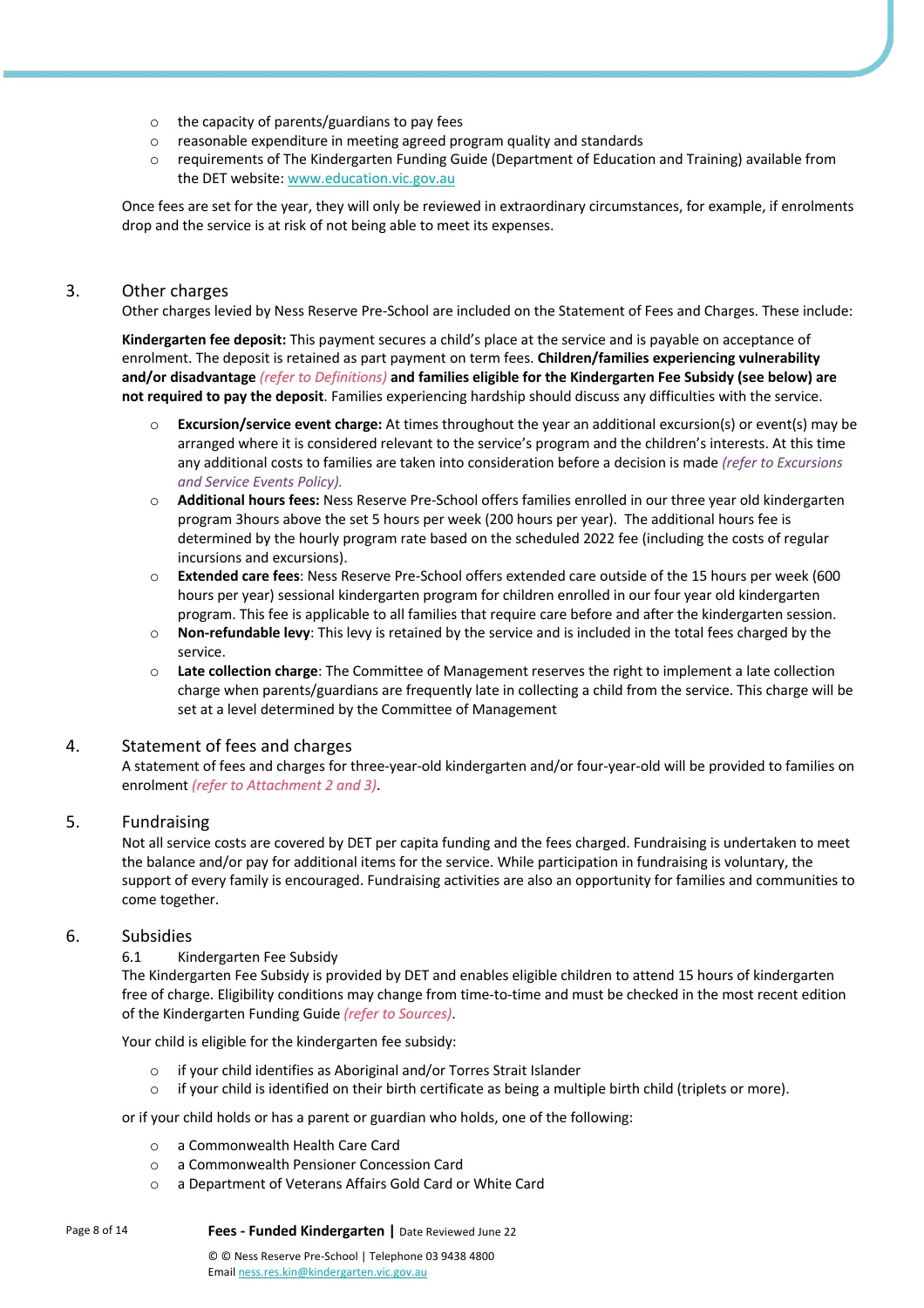- o the capacity of parents/guardians to pay fees
- o reasonable expenditure in meeting agreed program quality and standards
- o requirements of The Kindergarten Funding Guide (Department of Education and Training) available from the DET website: www.education.vic.gov.au

Once fees are set for the year, they will only be reviewed in extraordinary circumstances, for example, if enrolments drop and the service is at risk of not being able to meet its expenses.

# 3. Other charges

Other charges levied by Ness Reserve Pre-School are included on the Statement of Fees and Charges. These include:

**Kindergarten fee deposit:** This payment secures a child's place at the service and is payable on acceptance of enrolment. The deposit is retained as part payment on term fees. **Children/families experiencing vulnerability and/or disadvantage** *(refer to Definitions)* **and families eligible for the Kindergarten Fee Subsidy (see below) are not required to pay the deposit**. Families experiencing hardship should discuss any difficulties with the service.

- o **Excursion/service event charge:** At times throughout the year an additional excursion(s) or event(s) may be arranged where it is considered relevant to the service's program and the children's interests. At this time any additional costs to families are taken into consideration before a decision is made *(refer to Excursions and Service Events Policy).*
- o **Additional hours fees:** Ness Reserve Pre-School offers families enrolled in our three year old kindergarten program 3hours above the set 5 hours per week (200 hours per year). The additional hours fee is determined by the hourly program rate based on the scheduled 2022 fee (including the costs of regular incursions and excursions).
- o **Extended care fees**: Ness Reserve Pre-School offers extended care outside of the 15 hours per week (600 hours per year) sessional kindergarten program for children enrolled in our four year old kindergarten program. This fee is applicable to all families that require care before and after the kindergarten session.
- o **Non-refundable levy**: This levy is retained by the service and is included in the total fees charged by the service.
- o **Late collection charge**: The Committee of Management reserves the right to implement a late collection charge when parents/guardians are frequently late in collecting a child from the service. This charge will be set at a level determined by the Committee of Management

# 4. Statement of fees and charges

A statement of fees and charges for three-year-old kindergarten and/or four-year-old will be provided to families on enrolment *(refer to Attachment 2 and 3)*.

# 5. Fundraising

Not all service costs are covered by DET per capita funding and the fees charged. Fundraising is undertaken to meet the balance and/or pay for additional items for the service. While participation in fundraising is voluntary, the support of every family is encouraged. Fundraising activities are also an opportunity for families and communities to come together.

# 6. Subsidies

# 6.1 Kindergarten Fee Subsidy

The Kindergarten Fee Subsidy is provided by DET and enables eligible children to attend 15 hours of kindergarten free of charge. Eligibility conditions may change from time-to-time and must be checked in the most recent edition of the Kindergarten Funding Guide *(refer to Sources)*.

Your child is eligible for the kindergarten fee subsidy:

- o if your child identifies as Aboriginal and/or Torres Strait Islander
- $\circ$  if your child is identified on their birth certificate as being a multiple birth child (triplets or more).

or if your child holds or has a parent or guardian who holds, one of the following:

- o a Commonwealth Health Care Card
- o a Commonwealth Pensioner Concession Card
- o a Department of Veterans Affairs Gold Card or White Card

Page 8 of 14 **Fees - Funded Kindergarten |** Date Reviewed June 22

© © Ness Reserve Pre-School | Telephone 03 9438 4800 Email ness.res.kin@kindergarten.vic.gov.au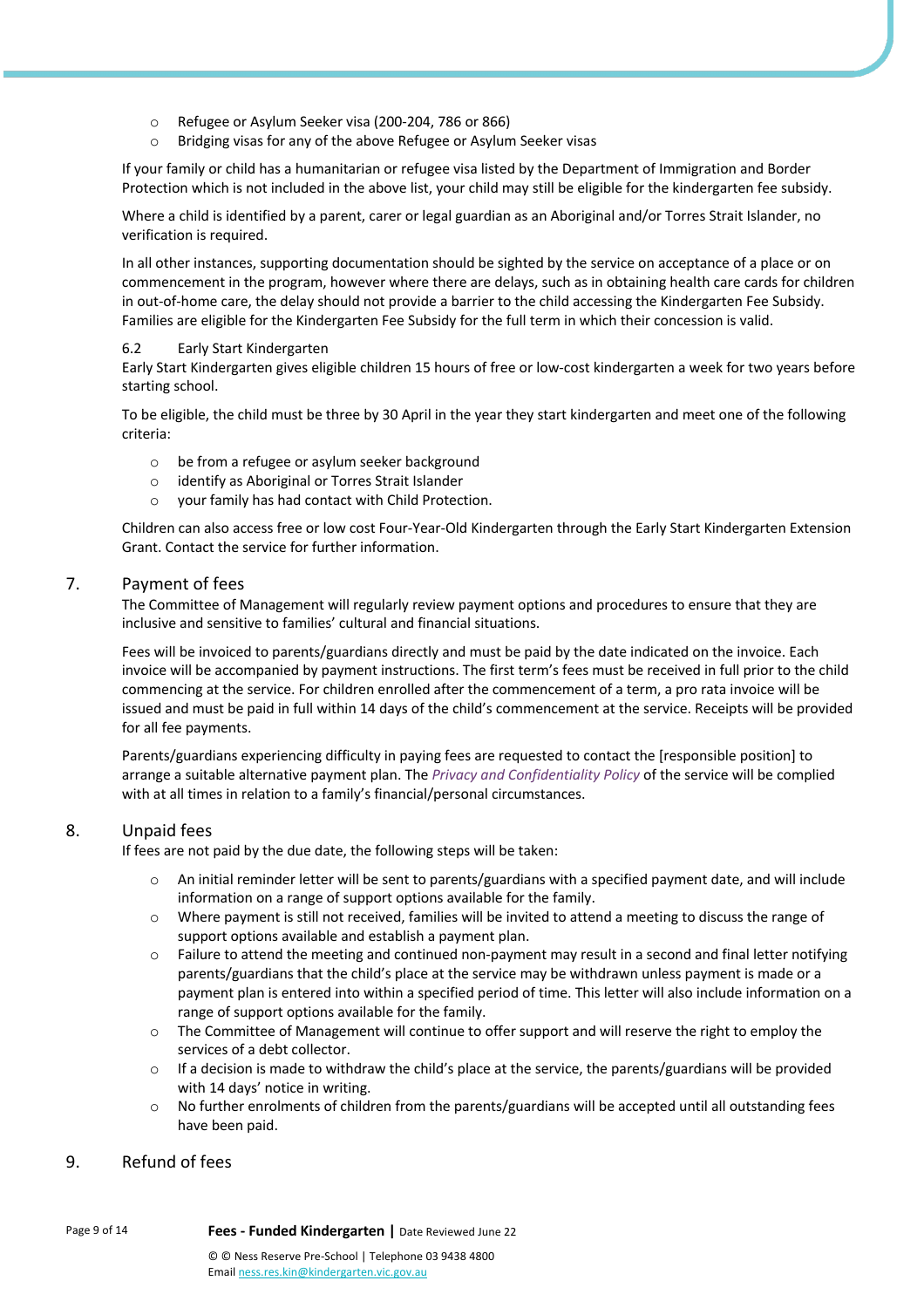- o Refugee or Asylum Seeker visa (200-204, 786 or 866)
- o Bridging visas for any of the above Refugee or Asylum Seeker visas

If your family or child has a humanitarian or refugee visa listed by the Department of Immigration and Border Protection which is not included in the above list, your child may still be eligible for the kindergarten fee subsidy.

Where a child is identified by a parent, carer or legal guardian as an Aboriginal and/or Torres Strait Islander, no verification is required.

In all other instances, supporting documentation should be sighted by the service on acceptance of a place or on commencement in the program, however where there are delays, such as in obtaining health care cards for children in out-of-home care, the delay should not provide a barrier to the child accessing the Kindergarten Fee Subsidy. Families are eligible for the Kindergarten Fee Subsidy for the full term in which their concession is valid.

#### 6.2 Early Start Kindergarten

Early Start Kindergarten gives eligible children 15 hours of free or low-cost kindergarten a week for two years before starting school.

To be eligible, the child must be three by 30 April in the year they start kindergarten and meet one of the following criteria:

- o be from a refugee or asylum seeker background
- o identify as Aboriginal or Torres Strait Islander
- o your family has had contact with Child Protection.

Children can also access free or low cost Four-Year-Old Kindergarten through the Early Start Kindergarten Extension Grant. Contact the service for further information.

#### 7. Payment of fees

The Committee of Management will regularly review payment options and procedures to ensure that they are inclusive and sensitive to families' cultural and financial situations.

Fees will be invoiced to parents/guardians directly and must be paid by the date indicated on the invoice. Each invoice will be accompanied by payment instructions. The first term's fees must be received in full prior to the child commencing at the service. For children enrolled after the commencement of a term, a pro rata invoice will be issued and must be paid in full within 14 days of the child's commencement at the service. Receipts will be provided for all fee payments.

Parents/guardians experiencing difficulty in paying fees are requested to contact the [responsible position] to arrange a suitable alternative payment plan. The *Privacy and Confidentiality Policy* of the service will be complied with at all times in relation to a family's financial/personal circumstances.

# 8. Unpaid fees

If fees are not paid by the due date, the following steps will be taken:

- $\circ$  An initial reminder letter will be sent to parents/guardians with a specified payment date, and will include information on a range of support options available for the family.
- $\circ$  Where payment is still not received, families will be invited to attend a meeting to discuss the range of support options available and establish a payment plan.
- $\circ$  Failure to attend the meeting and continued non-payment may result in a second and final letter notifying parents/guardians that the child's place at the service may be withdrawn unless payment is made or a payment plan is entered into within a specified period of time. This letter will also include information on a range of support options available for the family.
- o The Committee of Management will continue to offer support and will reserve the right to employ the services of a debt collector.
- $\circ$  If a decision is made to withdraw the child's place at the service, the parents/guardians will be provided with 14 days' notice in writing.
- o No further enrolments of children from the parents/guardians will be accepted until all outstanding fees have been paid.

# 9. Refund of fees

Page 9 of 14 **Fees - Funded Kindergarten |** Date Reviewed June 22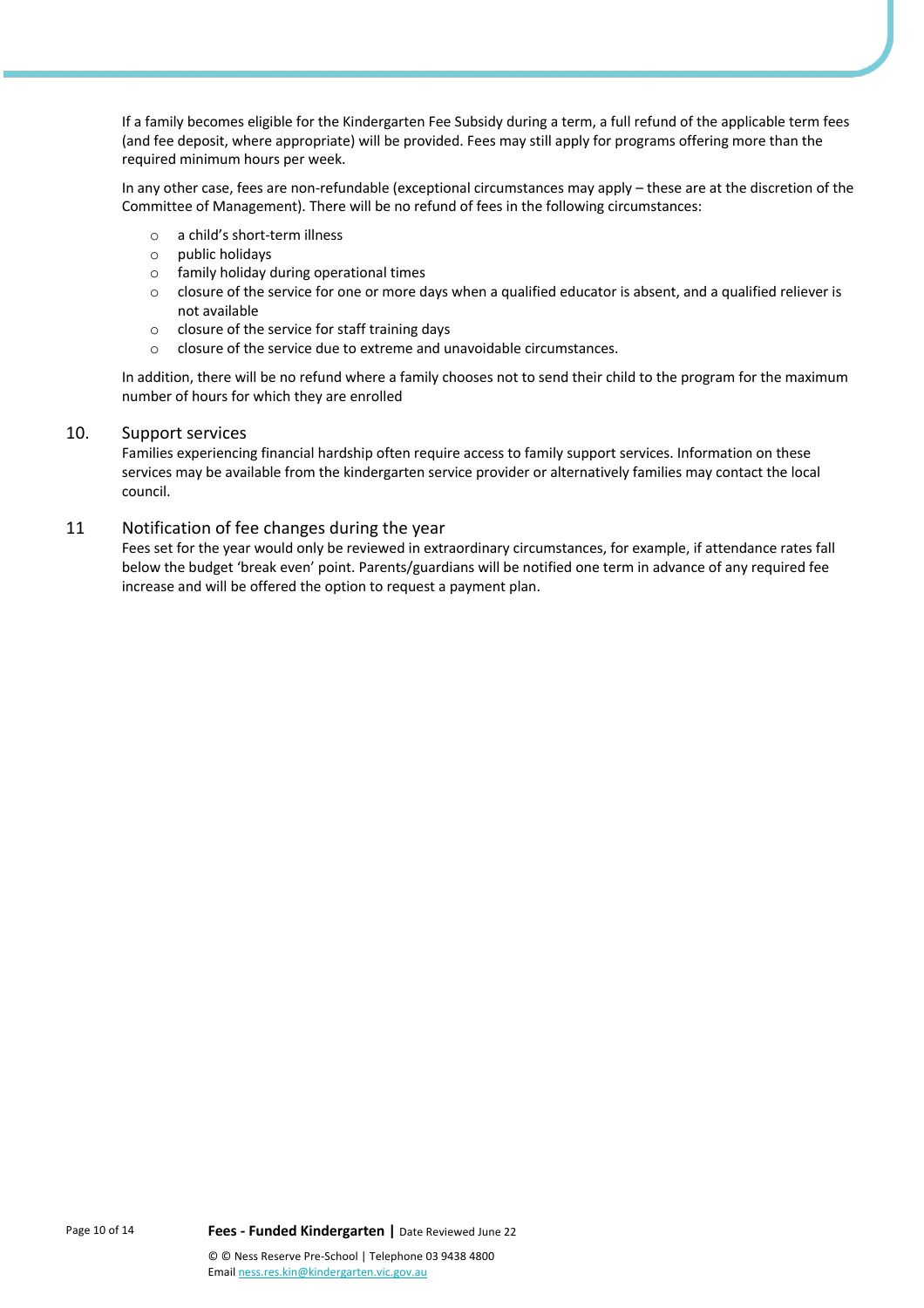If a family becomes eligible for the Kindergarten Fee Subsidy during a term, a full refund of the applicable term fees (and fee deposit, where appropriate) will be provided. Fees may still apply for programs offering more than the required minimum hours per week.

In any other case, fees are non-refundable (exceptional circumstances may apply – these are at the discretion of the Committee of Management). There will be no refund of fees in the following circumstances:

- o a child's short-term illness
- o public holidays
- o family holiday during operational times
- $\circ$  closure of the service for one or more days when a qualified educator is absent, and a qualified reliever is not available
- o closure of the service for staff training days
- o closure of the service due to extreme and unavoidable circumstances.

In addition, there will be no refund where a family chooses not to send their child to the program for the maximum number of hours for which they are enrolled

#### 10. Support services

Families experiencing financial hardship often require access to family support services. Information on these services may be available from the kindergarten service provider or alternatively families may contact the local council.

#### 11 Notification of fee changes during the year

Fees set for the year would only be reviewed in extraordinary circumstances, for example, if attendance rates fall below the budget 'break even' point. Parents/guardians will be notified one term in advance of any required fee increase and will be offered the option to request a payment plan.

Page 10 of 14 **Fees - Funded Kindergarten |** Date Reviewed June 22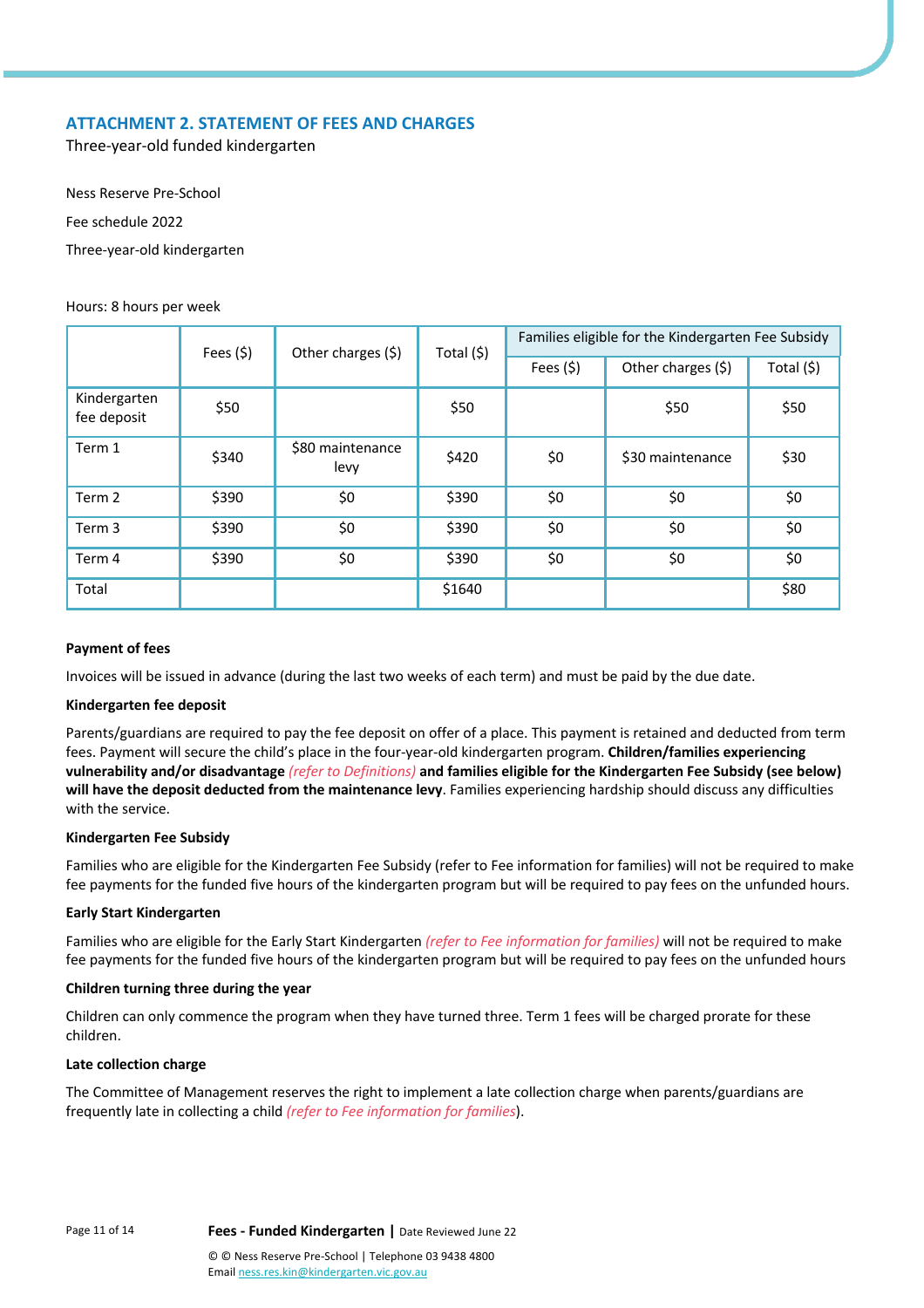# **ATTACHMENT 2. STATEMENT OF FEES AND CHARGES**

Three-year-old funded kindergarten

Ness Reserve Pre-School Fee schedule 2022 Three-year-old kindergarten

#### Hours: 8 hours per week

|                             | Fees $(5)$ | Other charges (\$)       | Total (\$) | Families eligible for the Kindergarten Fee Subsidy |                    |            |  |  |
|-----------------------------|------------|--------------------------|------------|----------------------------------------------------|--------------------|------------|--|--|
|                             |            |                          | Fees $(5)$ |                                                    | Other charges (\$) | Total (\$) |  |  |
| Kindergarten<br>fee deposit | \$50       |                          | \$50       |                                                    | \$50               | \$50       |  |  |
| Term 1                      | \$340      | \$80 maintenance<br>levy | \$420      | \$0                                                | \$30 maintenance   | \$30       |  |  |
| Term 2                      | \$390      | \$0                      | \$390      | \$0                                                | \$0                | \$0        |  |  |
| Term 3                      | \$390      | \$0                      | \$390      | \$0                                                | \$0                | \$0        |  |  |
| Term 4                      | \$390      | \$0                      | \$390      | \$0                                                | \$0                | \$0        |  |  |
| Total                       |            |                          | \$1640     |                                                    |                    | \$80       |  |  |

#### **Payment of fees**

Invoices will be issued in advance (during the last two weeks of each term) and must be paid by the due date.

#### **Kindergarten fee deposit**

Parents/guardians are required to pay the fee deposit on offer of a place. This payment is retained and deducted from term fees. Payment will secure the child's place in the four-year-old kindergarten program. **Children/families experiencing vulnerability and/or disadvantage** *(refer to Definitions)* **and families eligible for the Kindergarten Fee Subsidy (see below) will have the deposit deducted from the maintenance levy**. Families experiencing hardship should discuss any difficulties with the service.

#### **Kindergarten Fee Subsidy**

Families who are eligible for the Kindergarten Fee Subsidy (refer to Fee information for families) will not be required to make fee payments for the funded five hours of the kindergarten program but will be required to pay fees on the unfunded hours.

#### **Early Start Kindergarten**

Families who are eligible for the Early Start Kindergarten *(refer to Fee information for families)* will not be required to make fee payments for the funded five hours of the kindergarten program but will be required to pay fees on the unfunded hours

#### **Children turning three during the year**

Children can only commence the program when they have turned three. Term 1 fees will be charged prorate for these children.

#### **Late collection charge**

The Committee of Management reserves the right to implement a late collection charge when parents/guardians are frequently late in collecting a child *(refer to Fee information for families*).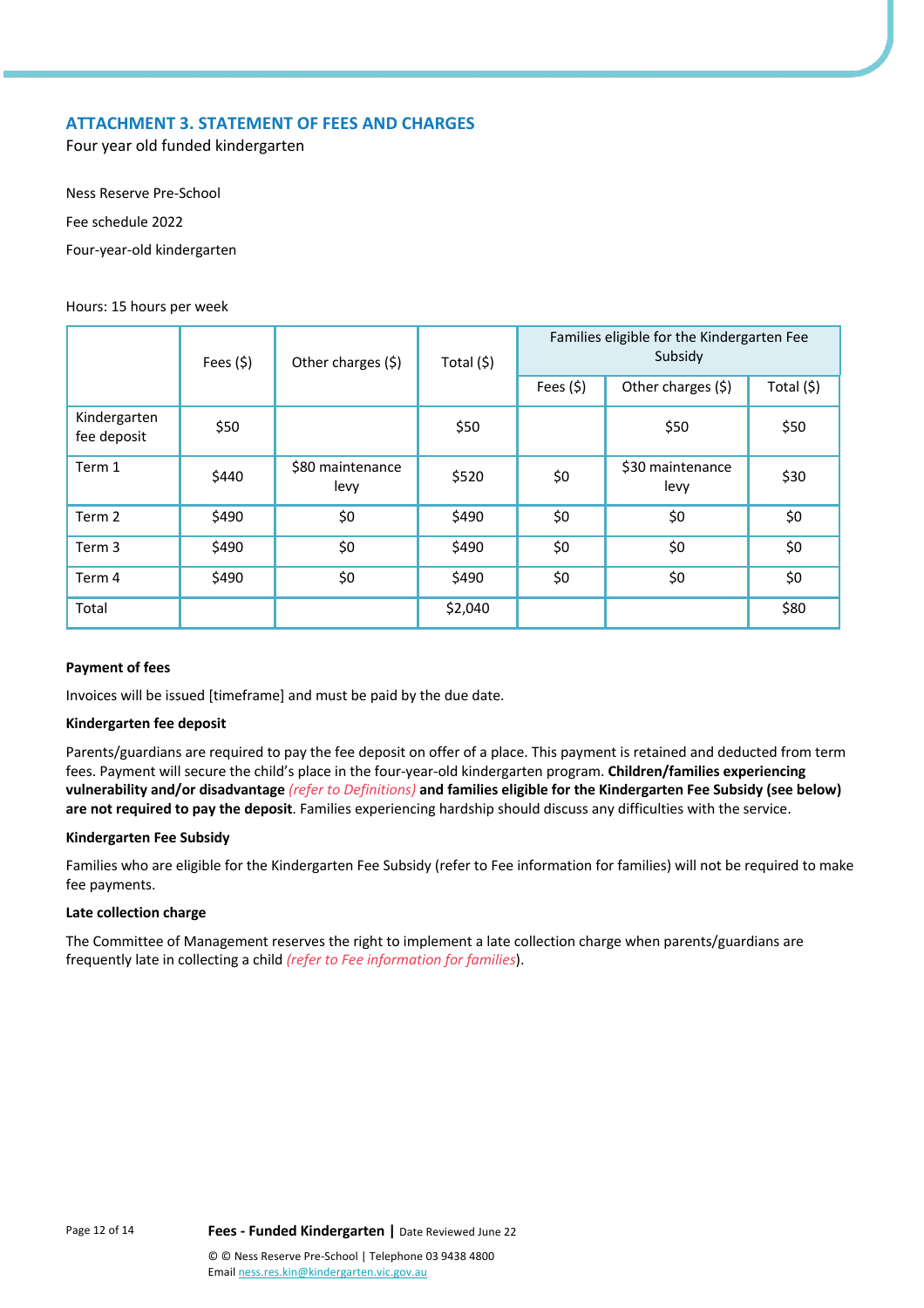# **ATTACHMENT 3. STATEMENT OF FEES AND CHARGES**

Four year old funded kindergarten

Ness Reserve Pre-School Fee schedule 2022

Four-year-old kindergarten

#### Hours: 15 hours per week

|                             | Fees $(5)$<br>Other charges (\$)<br>Total (\$) |                          |         |            | Families eligible for the Kindergarten Fee<br>Subsidy |            |  |
|-----------------------------|------------------------------------------------|--------------------------|---------|------------|-------------------------------------------------------|------------|--|
|                             |                                                |                          |         | Fees $(5)$ | Other charges (\$)                                    | Total (\$) |  |
| Kindergarten<br>fee deposit | \$50                                           |                          | \$50    |            | \$50                                                  | \$50       |  |
| Term 1                      | \$440                                          | \$80 maintenance<br>levy | \$520   | \$0        | \$30 maintenance<br>levy                              | \$30       |  |
| Term 2                      | \$490                                          | \$0                      | \$490   | \$0        | \$0                                                   | \$0        |  |
| Term 3                      | \$490                                          | \$0                      | \$490   | \$0        | \$0                                                   | \$0        |  |
| Term 4                      | \$490                                          | \$0                      | \$490   | \$0        | \$0                                                   | \$0        |  |
| Total                       |                                                |                          | \$2,040 |            |                                                       | \$80       |  |

# **Payment of fees**

Invoices will be issued [timeframe] and must be paid by the due date.

#### **Kindergarten fee deposit**

Parents/guardians are required to pay the fee deposit on offer of a place. This payment is retained and deducted from term fees. Payment will secure the child's place in the four-year-old kindergarten program. **Children/families experiencing vulnerability and/or disadvantage** *(refer to Definitions)* **and families eligible for the Kindergarten Fee Subsidy (see below) are not required to pay the deposit**. Families experiencing hardship should discuss any difficulties with the service.

#### **Kindergarten Fee Subsidy**

Families who are eligible for the Kindergarten Fee Subsidy (refer to Fee information for families) will not be required to make fee payments.

#### **Late collection charge**

The Committee of Management reserves the right to implement a late collection charge when parents/guardians are frequently late in collecting a child *(refer to Fee information for families*).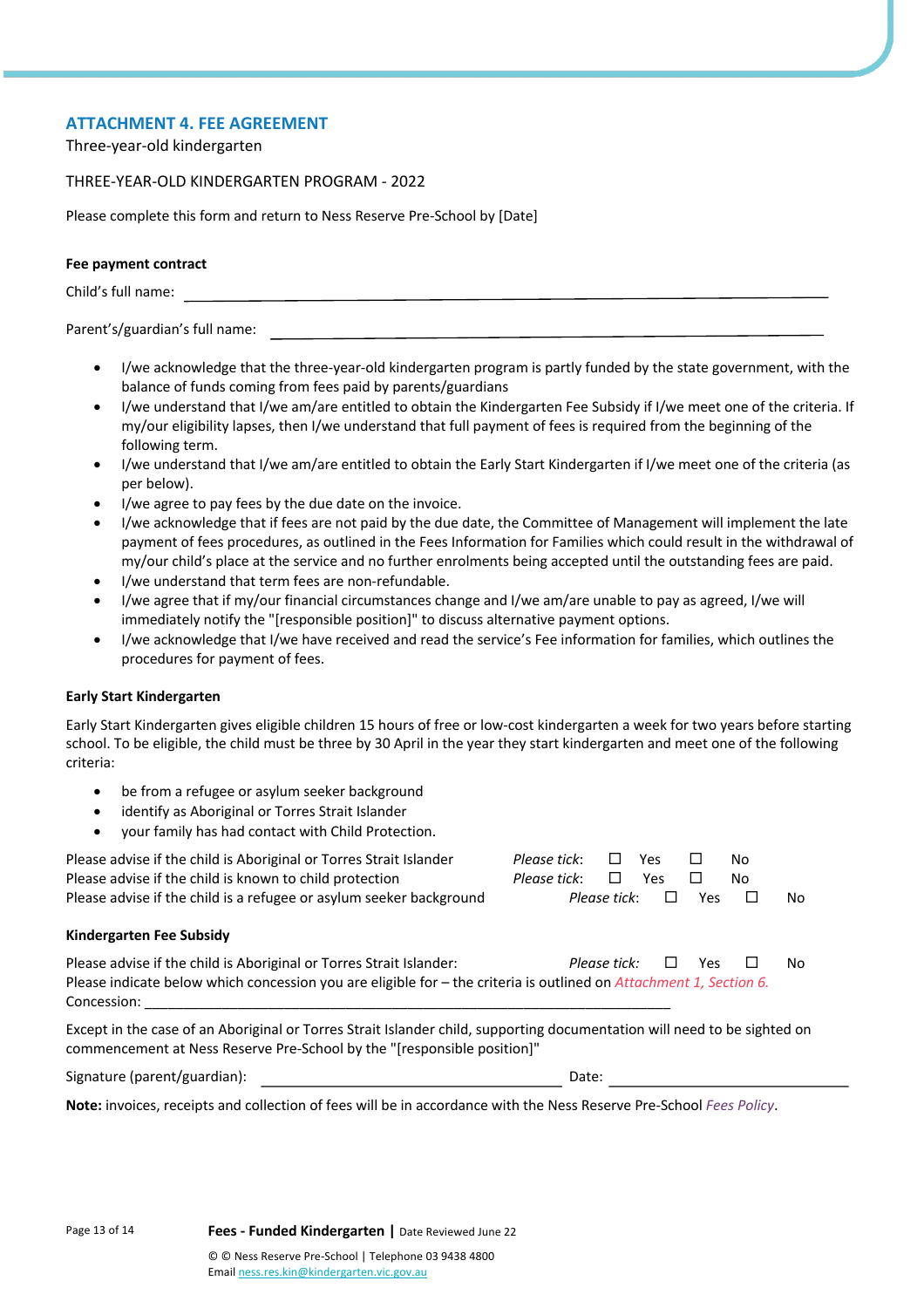# **ATTACHMENT 4. FEE AGREEMENT**

Three-year-old kindergarten

#### THREE-YEAR-OLD KINDERGARTEN PROGRAM - 2022

Please complete this form and return to Ness Reserve Pre-School by [Date]

#### **Fee payment contract**

Child's full name:

#### Parent's/guardian's full name:

- I/we acknowledge that the three-year-old kindergarten program is partly funded by the state government, with the balance of funds coming from fees paid by parents/guardians
- I/we understand that I/we am/are entitled to obtain the Kindergarten Fee Subsidy if I/we meet one of the criteria. If my/our eligibility lapses, then I/we understand that full payment of fees is required from the beginning of the following term.
- I/we understand that I/we am/are entitled to obtain the Early Start Kindergarten if I/we meet one of the criteria (as per below).
- I/we agree to pay fees by the due date on the invoice.
- I/we acknowledge that if fees are not paid by the due date, the Committee of Management will implement the late payment of fees procedures, as outlined in the Fees Information for Families which could result in the withdrawal of my/our child's place at the service and no further enrolments being accepted until the outstanding fees are paid.
- I/we understand that term fees are non-refundable.
- I/we agree that if my/our financial circumstances change and I/we am/are unable to pay as agreed, I/we will immediately notify the "[responsible position]" to discuss alternative payment options.
- I/we acknowledge that I/we have received and read the service's Fee information for families, which outlines the procedures for payment of fees.

#### **Early Start Kindergarten**

Early Start Kindergarten gives eligible children 15 hours of free or low-cost kindergarten a week for two years before starting school. To be eligible, the child must be three by 30 April in the year they start kindergarten and meet one of the following criteria:

- be from a refugee or asylum seeker background
- identify as Aboriginal or Torres Strait Islander
- your family has had contact with Child Protection.

| Please advise if the child is Aboriginal or Torres Strait Islander<br>Please advise if the child is known to child protection<br>Please advise if the child is a refugee or asylum seeker background     | Please tick:<br>Please tick: | Please tick: | Yes<br>Yes | Yes | No.<br>No<br>$\Box$ | No  |  |
|----------------------------------------------------------------------------------------------------------------------------------------------------------------------------------------------------------|------------------------------|--------------|------------|-----|---------------------|-----|--|
| Kindergarten Fee Subsidy                                                                                                                                                                                 |                              |              |            |     |                     |     |  |
| Please advise if the child is Aboriginal or Torres Strait Islander:<br>Please indicate below which concession you are eligible for - the criteria is outlined on Attachment 1, Section 6.<br>Concession: |                              | Please tick: | $\Box$     | Yes | $\mathbf{I}$        | No. |  |
| Except in the case of an Aboriginal or Torres Strait Islander child, supporting documentation will need to be sighted on                                                                                 |                              |              |            |     |                     |     |  |

commencement at Ness Reserve Pre-School by the "[responsible position]"

| Signature (parent/guardian): | Date: |
|------------------------------|-------|
|------------------------------|-------|

**Note:** invoices, receipts and collection of fees will be in accordance with the Ness Reserve Pre-School *Fees Policy*.